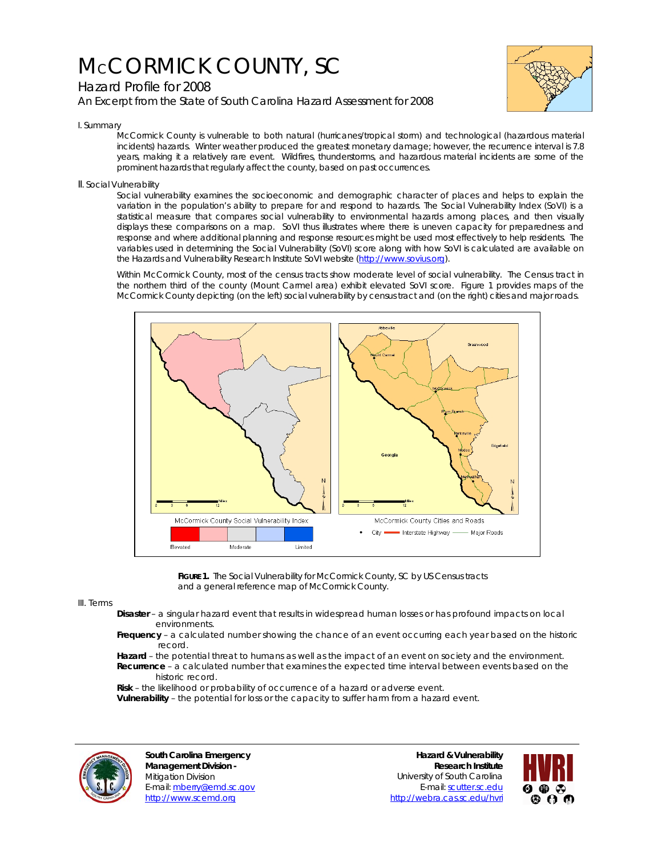# McCORMICK COUNTY, SC





## I. Summary

McCormick County is vulnerable to both natural (hurricanes/tropical storm) and technological (hazardous material incidents) hazards. Winter weather produced the greatest monetary damage; however, the recurrence interval is 7.8 years, making it a relatively rare event. Wildfires, thunderstorms, and hazardous material incidents are some of the prominent hazards that regularly affect the county, based on past occurrences.

## II. Social Vulnerability

Social vulnerability examines the socioeconomic and demographic character of places and helps to explain the variation in the population's ability to prepare for and respond to hazards. The Social Vulnerability Index (SoVI) is a statistical measure that compares social vulnerability to environmental hazards among places, and then visually displays these comparisons on a map. SoVI thus illustrates where there is uneven capacity for preparedness and response and where additional planning and response resources might be used most effectively to help residents. The variables used in determining the Social Vulnerability (SoVI) score along with how SoVI is calculated are available on the Hazards and Vulnerability Research Institute SoVI website (http://www.sovius.org).

Within McCormick County, most of the census tracts show moderate level of social vulnerability. The Census tract in the northern third of the county (Mount Carmel area) exhibit elevated SoVI score. Figure 1 provides maps of the McCormick County depicting (on the left) social vulnerability by census tract and (on the right) cities and major roads.



FIGURE 1. The Social Vulnerability for McCormick County, SC by US Census tracts and a general reference map of McCormick County.

#### III. Terms

- **Disaster** a singular hazard event that results in widespread human losses or has profound impacts on local environments.
- **Frequency** a calculated number showing the chance of an event occurring each year based on the historic record.
- **Hazard** the potential threat to humans as well as the impact of an event on society and the environment.  **Recurrence** – a calculated number that examines the expected time interval between events based on the historic record.

 **Risk** – the likelihood or probability of occurrence of a hazard or adverse event.

 **Vulnerability** – the potential for loss or the capacity to suffer harm from a hazard event.



**South Carolina Emergency Management Division -**  Mitigation Division E-mail: mberry@emd.sc.gov http://www.scemd.org

**Hazard & Vulnerability Research Institute**  University of South Carolina E-mail: scutter.sc.edu http://webra.cas.sc.edu/hvri

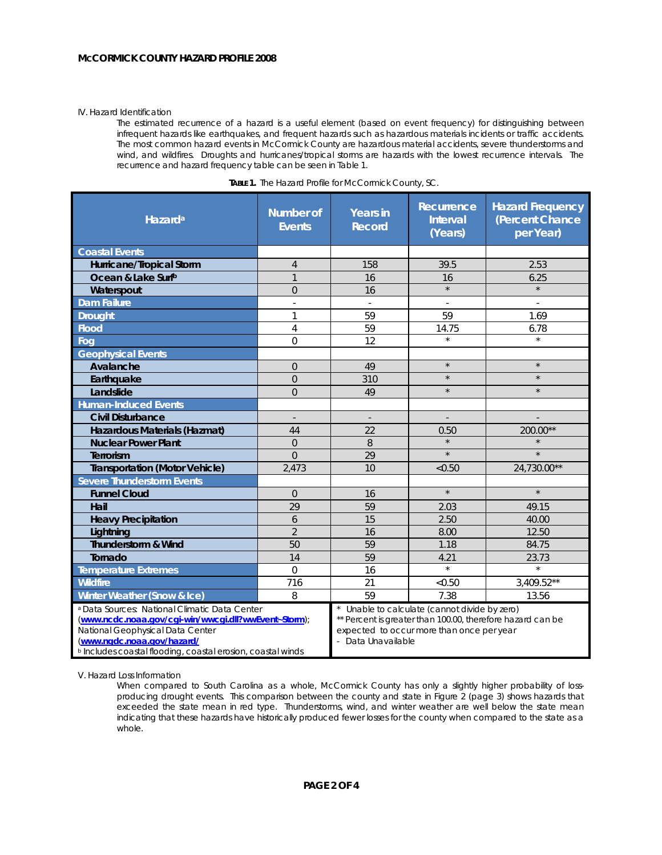#### IV. Hazard Identification

The estimated recurrence of a hazard is a useful element (based on event frequency) for distinguishing between infrequent hazards like earthquakes, and frequent hazards such as hazardous materials incidents or traffic accidents. The most common hazard events in McCormick County are hazardous material accidents, severe thunderstorms and wind, and wildfires. Droughts and hurricanes/tropical storms are hazards with the lowest recurrence intervals. The recurrence and hazard frequency table can be seen in Table 1.

| Hazard <sup>a</sup>                                                                                                                                                                                                                                          | <b>Number of</b><br><b>Events</b> | <b>Years in</b><br><b>Record</b>                                                                                                                                             | Recurrence<br><b>Interval</b><br>(Years) | <b>Hazard Frequency</b><br>(Percent Chance<br>per Year) |
|--------------------------------------------------------------------------------------------------------------------------------------------------------------------------------------------------------------------------------------------------------------|-----------------------------------|------------------------------------------------------------------------------------------------------------------------------------------------------------------------------|------------------------------------------|---------------------------------------------------------|
| <b>Coastal Events</b>                                                                                                                                                                                                                                        |                                   |                                                                                                                                                                              |                                          |                                                         |
| Hurricane/Tropical Storm                                                                                                                                                                                                                                     | $\overline{4}$                    | 158                                                                                                                                                                          | 39.5                                     | 2.53                                                    |
| Ocean & Lake Surfb                                                                                                                                                                                                                                           | $\mathbf{1}$                      | 16                                                                                                                                                                           | 16                                       | 6.25                                                    |
| Waterspout                                                                                                                                                                                                                                                   | $\overline{0}$                    | 16                                                                                                                                                                           | $\star$                                  |                                                         |
| <b>Dam Failure</b>                                                                                                                                                                                                                                           |                                   |                                                                                                                                                                              |                                          |                                                         |
| <b>Drought</b>                                                                                                                                                                                                                                               | 1                                 | 59                                                                                                                                                                           | 59                                       | 1.69                                                    |
| <b>Flood</b>                                                                                                                                                                                                                                                 | $\overline{4}$                    | 59                                                                                                                                                                           | 14.75                                    | 6.78                                                    |
| Fog                                                                                                                                                                                                                                                          | $\Omega$                          | 12                                                                                                                                                                           | $\star$                                  | $\star$                                                 |
| <b>Geophysical Events</b>                                                                                                                                                                                                                                    |                                   |                                                                                                                                                                              |                                          |                                                         |
| Avalanche                                                                                                                                                                                                                                                    | $\overline{0}$                    | 49                                                                                                                                                                           | $\star$                                  | $\star$                                                 |
| Earthquake                                                                                                                                                                                                                                                   | $\overline{0}$                    | 310                                                                                                                                                                          | $\star$                                  | $\star$                                                 |
| Landslide                                                                                                                                                                                                                                                    | $\overline{0}$                    | 49                                                                                                                                                                           | $\star$                                  | $\star$                                                 |
| <b>Human-Induced Events</b>                                                                                                                                                                                                                                  |                                   |                                                                                                                                                                              |                                          |                                                         |
| <b>Civil Disturbance</b>                                                                                                                                                                                                                                     |                                   | ÷,                                                                                                                                                                           |                                          |                                                         |
| Hazardous Materials (Hazmat)                                                                                                                                                                                                                                 | 44                                | 22                                                                                                                                                                           | 0.50                                     | $200.00**$                                              |
| <b>Nuclear Power Plant</b>                                                                                                                                                                                                                                   | $\overline{0}$                    | 8                                                                                                                                                                            |                                          |                                                         |
| Terrorism                                                                                                                                                                                                                                                    | $\Omega$                          | 29                                                                                                                                                                           | $\star$                                  | $\star$                                                 |
| <b>Transportation (Motor Vehicle)</b>                                                                                                                                                                                                                        | 2,473                             | 10                                                                                                                                                                           | < 0.50                                   | 24,730.00**                                             |
| <b>Severe Thunderstorm Events</b>                                                                                                                                                                                                                            |                                   |                                                                                                                                                                              |                                          |                                                         |
| <b>Funnel Cloud</b>                                                                                                                                                                                                                                          | $\overline{0}$                    | 16                                                                                                                                                                           | $\star$                                  | $\star$                                                 |
| Hail                                                                                                                                                                                                                                                         | 29                                | 59                                                                                                                                                                           | 2.03                                     | 49.15                                                   |
| <b>Heavy Precipitation</b>                                                                                                                                                                                                                                   | 6                                 | 15                                                                                                                                                                           | 2.50                                     | 40.00                                                   |
| Lightning                                                                                                                                                                                                                                                    | $\overline{2}$                    | 16                                                                                                                                                                           | 8.00                                     | 12.50                                                   |
| Thunderstorm & Wind                                                                                                                                                                                                                                          | 50                                | 59                                                                                                                                                                           | 1.18                                     | 84.75                                                   |
| Tornado                                                                                                                                                                                                                                                      | 14                                | 59                                                                                                                                                                           | 4.21                                     | 23.73                                                   |
| Temperature Extremes                                                                                                                                                                                                                                         | $\Omega$                          | 16                                                                                                                                                                           | $\star$                                  | $\star$                                                 |
| <b>Wildfire</b>                                                                                                                                                                                                                                              | 716                               | 21                                                                                                                                                                           | < 0.50                                   | $3,409.52**$                                            |
| Winter Weather (Snow & Ice)                                                                                                                                                                                                                                  | 8                                 | 59                                                                                                                                                                           | 7.38                                     | 13.56                                                   |
| <sup>a</sup> Data Sources: National Climatic Data Center<br>(www.ncdc.noaa.gov/cgi-win/wwcgi.dll?wwEvent~Storm);<br>National Geophysical Data Center<br>(www.ngdc.noaa.gov/hazard/<br><sup>b</sup> Includes coastal flooding, coastal erosion, coastal winds |                                   | Unable to calculate (cannot divide by zero)<br>** Percent is greater than 100.00, therefore hazard can be<br>expected to occur more than once per year<br>- Data Unavailable |                                          |                                                         |

|  |  | <b>TABLE 1.</b> The Hazard Profile for McCormick County, SC. |
|--|--|--------------------------------------------------------------|

V. Hazard Loss Information

When compared to South Carolina as a whole, McCormick County has only a slightly higher probability of lossproducing drought events. This comparison between the county and state in Figure 2 (page 3) shows hazards that exceeded the state mean in red type. Thunderstorms, wind, and winter weather are well below the state mean indicating that these hazards have historically produced fewer losses for the county when compared to the state as a whole.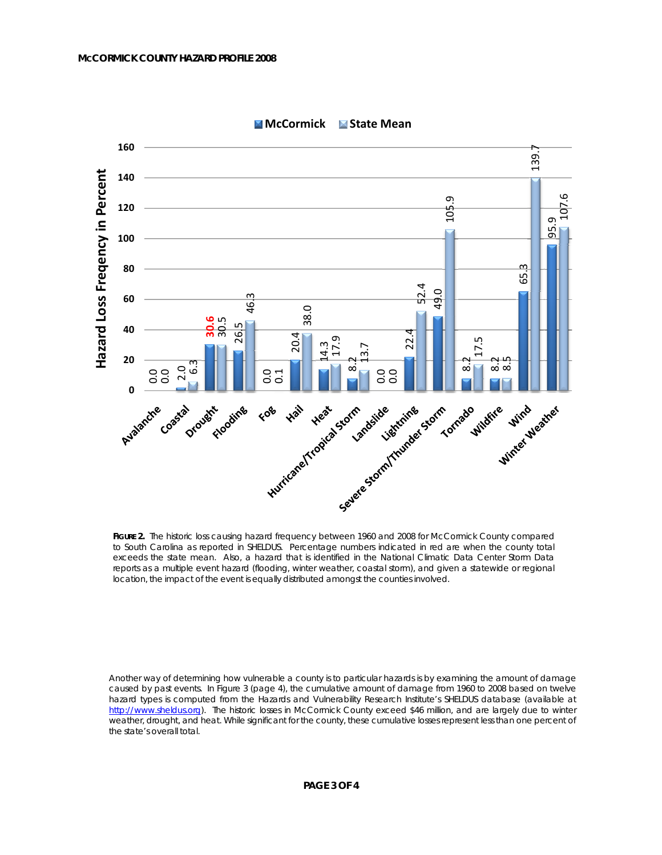

**McCormick State Mean**

FIGURE 2. The historic loss causing hazard frequency between 1960 and 2008 for McCormick County compared to South Carolina as reported in SHELDUS. Percentage numbers indicated in red are when the county total exceeds the state mean. Also, a hazard that is identified in the National Climatic Data Center Storm Data reports as a multiple event hazard (flooding, winter weather, coastal storm), and given a statewide or regional location, the impact of the event is equally distributed amongst the counties involved.

Another way of determining how vulnerable a county is to particular hazards is by examining the amount of damage caused by past events. In Figure 3 (page 4), the cumulative amount of damage from 1960 to 2008 based on twelve hazard types is computed from the Hazards and Vulnerability Research Institute's SHELDUS database (available at http://www.sheldus.org). The historic losses in McCormick County exceed \$46 million, and are largely due to winter weather, drought, and heat. While significant for the county, these cumulative losses represent less than one percent of the state's overall total.